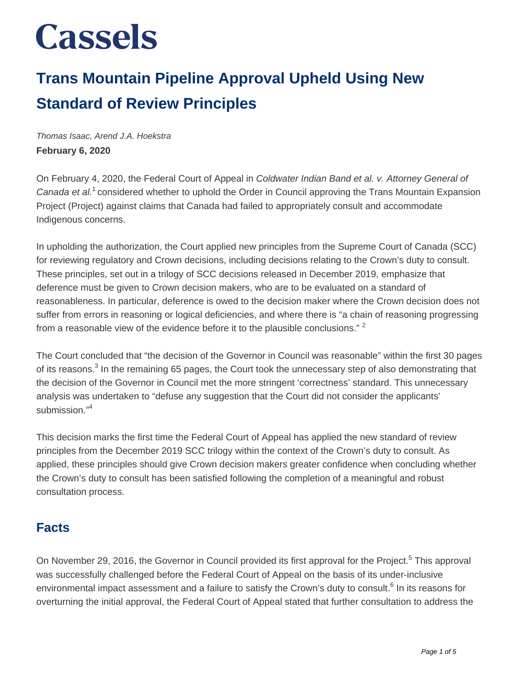#### **Trans Mountain Pipeline Approval Upheld Using New Standard of Review Principles**

Thomas Isaac, Arend J.A. Hoekstra **February 6, 2020**

On February 4, 2020, the Federal Court of Appeal in Coldwater Indian Band et al. v. Attorney General of Canada et al.<sup>1</sup> considered whether to uphold the Order in Council approving the Trans Mountain Expansion Project (Project) against claims that Canada had failed to appropriately consult and accommodate Indigenous concerns.

In upholding the authorization, the Court applied new principles from the Supreme Court of Canada (SCC) for reviewing regulatory and Crown decisions, including decisions relating to the Crown's duty to consult. These principles, set out in a trilogy of SCC decisions released in December 2019, emphasize that deference must be given to Crown decision makers, who are to be evaluated on a standard of reasonableness. In particular, deference is owed to the decision maker where the Crown decision does not suffer from errors in reasoning or logical deficiencies, and where there is "a chain of reasoning progressing from a reasonable view of the evidence before it to the plausible conclusions." <sup>2</sup>

The Court concluded that "the decision of the Governor in Council was reasonable" within the first 30 pages of its reasons.<sup>3</sup> In the remaining 65 pages, the Court took the unnecessary step of also demonstrating that the decision of the Governor in Council met the more stringent 'correctness' standard. This unnecessary analysis was undertaken to "defuse any suggestion that the Court did not consider the applicants' submission."<sup>4</sup>

This decision marks the first time the Federal Court of Appeal has applied the new standard of review principles from the December 2019 SCC trilogy within the context of the Crown's duty to consult. As applied, these principles should give Crown decision makers greater confidence when concluding whether the Crown's duty to consult has been satisfied following the completion of a meaningful and robust consultation process.

#### **Facts**

On November 29, 2016, the Governor in Council provided its first approval for the Project.<sup>5</sup> This approval was successfully challenged before the Federal Court of Appeal on the basis of its under-inclusive environmental impact assessment and a failure to satisfy the Crown's duty to consult.<sup>6</sup> In its reasons for overturning the initial approval, the Federal Court of Appeal stated that further consultation to address the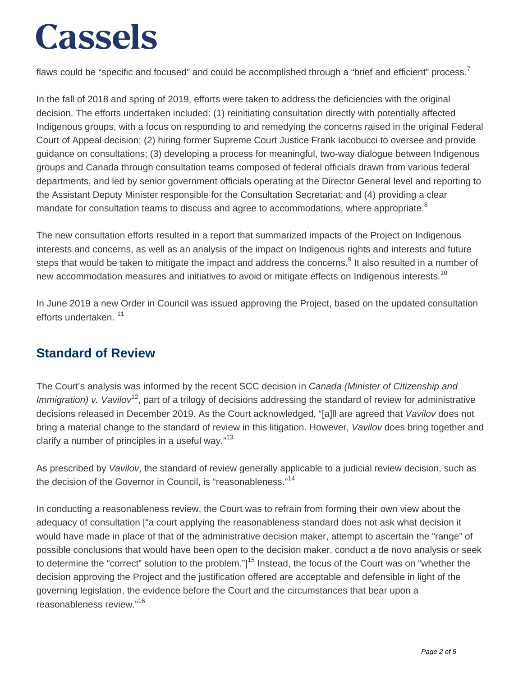flaws could be "specific and focused" and could be accomplished through a "brief and efficient" process.<sup>7</sup>

In the fall of 2018 and spring of 2019, efforts were taken to address the deficiencies with the original decision. The efforts undertaken included: (1) reinitiating consultation directly with potentially affected Indigenous groups, with a focus on responding to and remedying the concerns raised in the original Federal Court of Appeal decision; (2) hiring former Supreme Court Justice Frank Iacobucci to oversee and provide guidance on consultations; (3) developing a process for meaningful, two-way dialogue between Indigenous groups and Canada through consultation teams composed of federal officials drawn from various federal departments, and led by senior government officials operating at the Director General level and reporting to the Assistant Deputy Minister responsible for the Consultation Secretariat; and (4) providing a clear mandate for consultation teams to discuss and agree to accommodations, where appropriate.<sup>8</sup>

The new consultation efforts resulted in a report that summarized impacts of the Project on Indigenous interests and concerns, as well as an analysis of the impact on Indigenous rights and interests and future steps that would be taken to mitigate the impact and address the concerns.<sup>9</sup> It also resulted in a number of new accommodation measures and initiatives to avoid or mitigate effects on Indigenous interests.<sup>10</sup>

In June 2019 a new Order in Council was issued approving the Project, based on the updated consultation efforts undertaken.<sup>11</sup>

#### **Standard of Review**

The Court's analysis was informed by the recent SCC decision in Canada (Minister of Citizenship and Immigration) v. Vavilov<sup>12</sup>, part of a trilogy of decisions addressing the standard of review for administrative decisions released in December 2019. As the Court acknowledged, "[a]ll are agreed that Vavilov does not bring a material change to the standard of review in this litigation. However, Vavilov does bring together and clarify a number of principles in a useful way."<sup>13</sup>

As prescribed by Vavilov, the standard of review generally applicable to a judicial review decision, such as the decision of the Governor in Council, is "reasonableness."<sup>14</sup>

In conducting a reasonableness review, the Court was to refrain from forming their own view about the adequacy of consultation ["a court applying the reasonableness standard does not ask what decision it would have made in place of that of the administrative decision maker, attempt to ascertain the "range" of possible conclusions that would have been open to the decision maker, conduct a de novo analysis or seek to determine the "correct" solution to the problem."]<sup>15</sup> Instead, the focus of the Court was on "whether the decision approving the Project and the justification offered are acceptable and defensible in light of the governing legislation, the evidence before the Court and the circumstances that bear upon a reasonableness review."<sup>16</sup>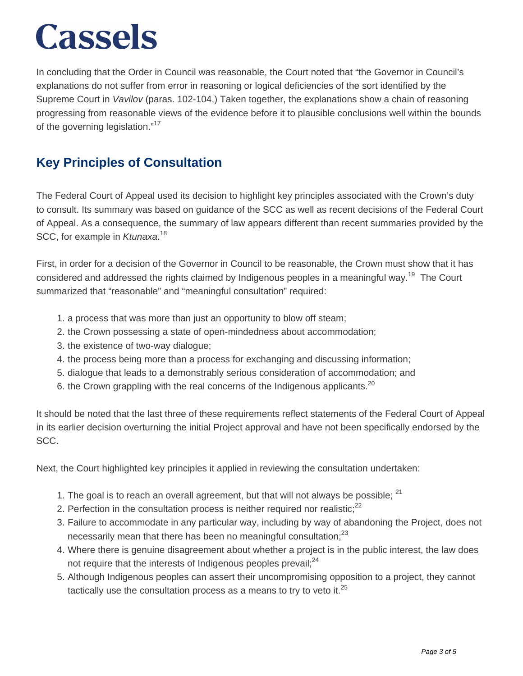In concluding that the Order in Council was reasonable, the Court noted that "the Governor in Council's explanations do not suffer from error in reasoning or logical deficiencies of the sort identified by the Supreme Court in *Vavilov* (paras. 102-104.) Taken together, the explanations show a chain of reasoning progressing from reasonable views of the evidence before it to plausible conclusions well within the bounds of the governing legislation."<sup>17</sup>

#### **Key Principles of Consultation**

The Federal Court of Appeal used its decision to highlight key principles associated with the Crown's duty to consult. Its summary was based on guidance of the SCC as well as recent decisions of the Federal Court of Appeal. As a consequence, the summary of law appears different than recent summaries provided by the SCC, for example in Ktunaxa.<sup>18</sup>

First, in order for a decision of the Governor in Council to be reasonable, the Crown must show that it has considered and addressed the rights claimed by Indigenous peoples in a meaningful way.<sup>19</sup> The Court summarized that "reasonable" and "meaningful consultation" required:

- 1. a process that was more than just an opportunity to blow off steam;
- 2. the Crown possessing a state of open-mindedness about accommodation;
- 3. the existence of two-way dialogue;
- 4. the process being more than a process for exchanging and discussing information;
- 5. dialogue that leads to a demonstrably serious consideration of accommodation; and
- 6. the Crown grappling with the real concerns of the Indigenous applicants.<sup>20</sup>

It should be noted that the last three of these requirements reflect statements of the Federal Court of Appeal in its earlier decision overturning the initial Project approval and have not been specifically endorsed by the SCC.

Next, the Court highlighted key principles it applied in reviewing the consultation undertaken:

- 1. The goal is to reach an overall agreement, but that will not always be possible:  $21$
- 2. Perfection in the consultation process is neither required nor realistic: $22$
- 3. Failure to accommodate in any particular way, including by way of abandoning the Project, does not necessarily mean that there has been no meaningful consultation;<sup>23</sup>
- 4. Where there is genuine disagreement about whether a project is in the public interest, the law does not require that the interests of Indigenous peoples prevail: $^{24}$
- 5. Although Indigenous peoples can assert their uncompromising opposition to a project, they cannot tactically use the consultation process as a means to try to veto it. $^{25}$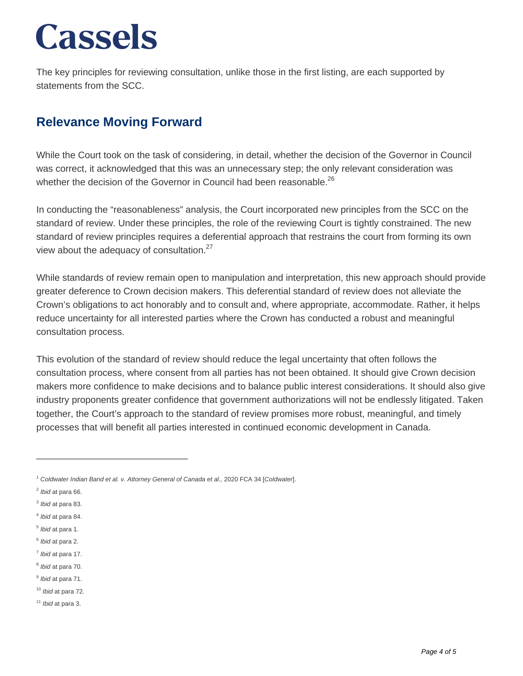The key principles for reviewing consultation, unlike those in the first listing, are each supported by statements from the SCC.

#### **Relevance Moving Forward**

While the Court took on the task of considering, in detail, whether the decision of the Governor in Council was correct, it acknowledged that this was an unnecessary step; the only relevant consideration was whether the decision of the Governor in Council had been reasonable.<sup>26</sup>

In conducting the "reasonableness" analysis, the Court incorporated new principles from the SCC on the standard of review. Under these principles, the role of the reviewing Court is tightly constrained. The new standard of review principles requires a deferential approach that restrains the court from forming its own view about the adequacy of consultation. $27$ 

While standards of review remain open to manipulation and interpretation, this new approach should provide greater deference to Crown decision makers. This deferential standard of review does not alleviate the Crown's obligations to act honorably and to consult and, where appropriate, accommodate. Rather, it helps reduce uncertainty for all interested parties where the Crown has conducted a robust and meaningful consultation process.

This evolution of the standard of review should reduce the legal uncertainty that often follows the consultation process, where consent from all parties has not been obtained. It should give Crown decision makers more confidence to make decisions and to balance public interest considerations. It should also give industry proponents greater confidence that government authorizations will not be endlessly litigated. Taken together, the Court's approach to the standard of review promises more robust, meaningful, and timely processes that will benefit all parties interested in continued economic development in Canada.

\_\_\_\_\_\_\_\_\_\_\_\_\_\_\_\_\_\_\_\_\_\_\_\_\_\_\_\_\_

<sup>11</sup> Ibid at para 3.

<sup>&</sup>lt;sup>1</sup> Coldwater Indian Band et al. v. Attorney General of Canada et al., 2020 FCA 34 [Coldwater].

 $<sup>2</sup>$  lbid at para 66.</sup>

 $3$  *lbid* at para 83.

<sup>&</sup>lt;sup>4</sup> Ibid at para 84.

<sup>&</sup>lt;sup>5</sup> Ibid at para 1.

<sup>&</sup>lt;sup>6</sup> Ibid at para 2.

<sup>&</sup>lt;sup>7</sup> Ibid at para 17.

<sup>&</sup>lt;sup>8</sup> Ibid at para 70.

<sup>&</sup>lt;sup>9</sup> Ibid at para 71.

<sup>10</sup> Ibid at para 72.